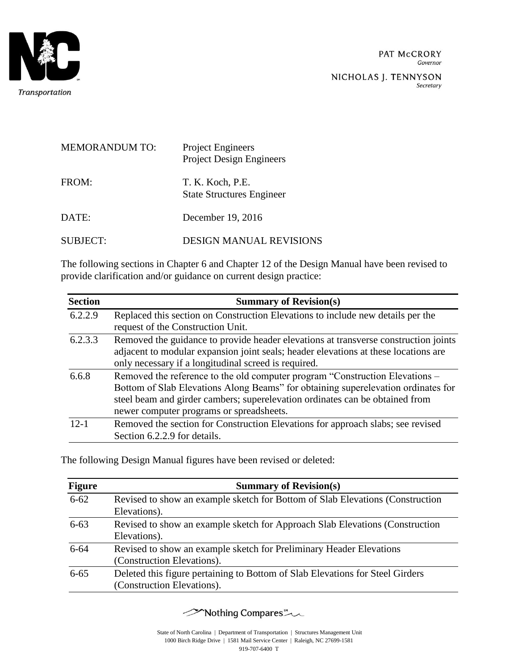

PAT McCRORY Governor

NICHOLAS J. TENNYSON Secretary

| <b>MEMORANDUM TO:</b> | <b>Project Engineers</b><br><b>Project Design Engineers</b> |
|-----------------------|-------------------------------------------------------------|
| FROM:                 | T. K. Koch, P.E.<br><b>State Structures Engineer</b>        |
| DATE:                 | December 19, 2016                                           |
| SUBJECT:              | DESIGN MANUAL REVISIONS                                     |

The following sections in Chapter 6 and Chapter 12 of the Design Manual have been revised to provide clarification and/or guidance on current design practice:

| <b>Section</b> | <b>Summary of Revision(s)</b>                                                       |
|----------------|-------------------------------------------------------------------------------------|
| 6.2.2.9        | Replaced this section on Construction Elevations to include new details per the     |
|                | request of the Construction Unit.                                                   |
| 6.2.3.3        | Removed the guidance to provide header elevations at transverse construction joints |
|                | adjacent to modular expansion joint seals; header elevations at these locations are |
|                | only necessary if a longitudinal screed is required.                                |
| 6.6.8          | Removed the reference to the old computer program "Construction Elevations –        |
|                | Bottom of Slab Elevations Along Beams" for obtaining superelevation ordinates for   |
|                | steel beam and girder cambers; superelevation ordinates can be obtained from        |
|                | newer computer programs or spreadsheets.                                            |
| $12 - 1$       | Removed the section for Construction Elevations for approach slabs; see revised     |
|                | Section 6.2.2.9 for details.                                                        |

The following Design Manual figures have been revised or deleted:

| <b>Figure</b> | <b>Summary of Revision(s)</b>                                                                               |  |
|---------------|-------------------------------------------------------------------------------------------------------------|--|
| $6 - 62$      | Revised to show an example sketch for Bottom of Slab Elevations (Construction<br>Elevations).               |  |
| $6 - 63$      | Revised to show an example sketch for Approach Slab Elevations (Construction<br>Elevations).                |  |
| $6 - 64$      | Revised to show an example sketch for Preliminary Header Elevations<br>(Construction Elevations).           |  |
| $6 - 65$      | Deleted this figure pertaining to Bottom of Slab Elevations for Steel Girders<br>(Construction Elevations). |  |

Mothing Compares \*\*